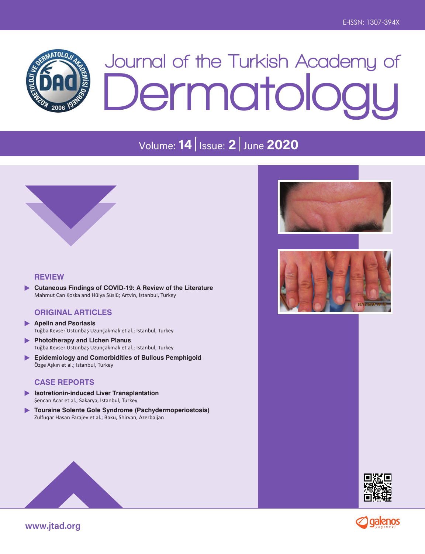

# **Journal of the Turkish Academy of Dermatology**

# Volume: **14** Issue: **2** June **2020**



#### **REVIEW**

**Cutaneous Findings of COVID-19: A Review of the Literature** ь Mahmut Can Koska and Hülya Süslü; Artvin, Istanbul, Turkey

#### **ORIGINAL ARTICLES**

- **Apelin and Psoriasis**  $\blacktriangleright$  Tuğba Kevser Üstünbaş Uzunçakmak et al.; Istanbul, Turkey
- **Phototherapy and Lichen Planus** Tuğba Kevser Üstünbaş Uzunçakmak et al.; Istanbul, Turkey
- **Epidemiology and Comorbidities of Bullous Pemphigoid** Özge Aşkın et al.; Istanbul, Turkey

#### **CASE REPORTS**

- **Isotretionin-induced Liver Transplantation** Şencan Acar et al.; Sakarya, Istanbul, Turkey
- **Touraine Solente Gole Syndrome (Pachydermoperiostosis)** Zulfuqar Hasan Farajev et al.; Baku, Shirvan, Azerbaijan









**www.jtad.org**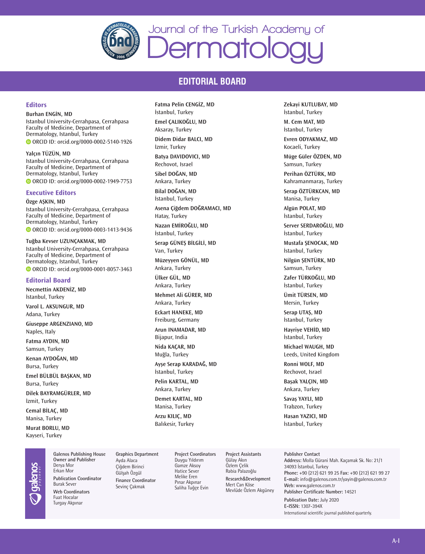

# **EDITORIAL BOARD**

**Fatma Pelin CENGİZ, MD** İstanbul, Turkey **Emel ÇALIKOĞLU, MD** Aksaray, Turkey **Didem Didar BALCI, MD**

İzmir, Turkey

#### **Editors**

#### **Burhan ENGİN, MD**

Istanbul University-Cerrahpasa, Cerrahpasa Faculty of Medicine, Department of Dermatology, Istanbul, Turkey ORCID ID: orcid.org/0000-0002-5140-1926

**Yalçın TÜZÜN, MD** Istanbul University-Cerrahpasa, Cerrahpasa Faculty of Medicine, Department of Dermatology, Istanbul, Turkey ORCID ID: orcid.org/0000-0002-1949-7753

#### **Executive Editors**

**Özge AŞKIN, MD**

Istanbul University-Cerrahpasa, Cerrahpasa Faculty of Medicine, Department of Dermatology, Istanbul, Turkey ORCID ID: orcid.org/0000-0003-1413-9436

**Tuğba Kevser UZUNÇAKMAK, MD** Istanbul University-Cerrahpasa, Cerrahpasa Faculty of Medicine, Department of Dermatology, Istanbul, Turkey ORCID ID: orcid.org/0000-0001-8057-3463

#### **Editorial Board**

**Necmettin AKDENİZ, MD** İstanbul, Turkey **Varol L. AKSUNGUR, MD** Adana, Turkey **Giuseppe ARGENZIANO, MD** Naples, Italy **Fatma AYDIN, MD** Samsun, Turkey **Kenan AYDOĞAN, MD** Bursa, Turkey **Emel BÜLBÜL BAŞKAN, MD** Bursa, Turkey

**Dilek BAYRAMGÜRLER, MD** İzmit, Turkey

**Cemal BİLAÇ, MD** Manisa, Turkey

**Murat BORLU, MD** Kayseri, Turkey

**Galenos Publishing House Owner and Publisher** Derya Mor Erkan Mor **Publication Coordinator** Burak Sever **Web Coordinators** Fuat Hocalar Turgay Akpınar

#### **Graphics Department** Ayda Alaca Çiğdem Birinci Gülşah Özgül **Finance Coordinator** Sevinç Çakmak

**Project Coordinators** Duygu Yıldırım Gamze Aksoy **Batya DAVIDOVICI, MD** Rechovot, Israel **Sibel DOĞAN, MD** Ankara, Turkey **Bilal DOĞAN, MD** İstanbul, Turkey **Asena Çiğdem DOĞRAMACI, MD** Hatay, Turkey **Nazan EMİROĞLU, MD** İstanbul, Turkey **Serap GÜNEŞ BİLGİLİ, MD** Van, Turkey **Müzeyyen GÖNÜL, MD** Ankara, Turkey **Ülker GÜL, MD** Ankara, Turkey **Mehmet Ali GÜRER, MD** Ankara, Turkey **Eckart HANEKE, MD** Freiburg, Germany **Arun INAMADAR, MD** Bijapur, India **Nida KAÇAR, MD** Muğla, Turkey **Ayşe Serap KARADAĞ, MD** İstanbul, Turkey **Pelin KARTAL, MD** Ankara, Turkey **Demet KARTAL, MD** Manisa, Turkey **Arzu KILIÇ, MD** Balıkesir, Turkey

Hatice Sever Melike Eren Pınar Akpınar Saliha Tuğçe Evin **Project Assistants** Özlem Çelik Rabia Palazoğlu **Research**&**Development** Mert Can Köse Mevlüde Özlem Akgüney **Zekayi KUTLUBAY, MD** İstanbul, Turkey **M. Cem MAT, MD** İstanbul, Turkey **Evren ODYAKMAZ, MD** Kocaeli, Turkey **Müge Güler ÖZDEN, MD** Samsun, Turkey **Perihan ÖZTÜRK, MD** Kahramanmaraş, Turkey **Serap ÖZTÜRKCAN, MD** Manisa, Turkey **Algün POLAT, MD** İstanbul, Turkey **Server SERDAROĞLU, MD** İstanbul, Turkey **Mustafa ŞENOCAK, MD** İstanbul, Turkey **Nilgün ŞENTÜRK, MD** Samsun, Turkey **Zafer TÜRKOĞLU, MD** İstanbul, Turkey **Ümit TÜRSEN, MD** Mersin, Turkey **Serap UTAŞ, MD** İstanbul, Turkey **Hayriye VEHİD, MD** İstanbul, Turkey **Michael WAUGH, MD** Leeds, United Kingdom **Ronni WOLF, MD** Rechovot, Israel **Başak YALÇIN, MD** Ankara, Turkey **Savaş YAYLI, MD** Trabzon, Turkey

**Hasan YAZICI, MD** İstanbul, Turkey

#### **Publisher Contact**

**Address:** Molla Gürani Mah. Kaçamak Sk. No: 21/1 34093 İstanbul, Turkey **Phone:** +90 (212) 621 99 25 **Fax:** +90 (212) 621 99 27 **E-mail:** info@galenos.com.tr/yayin@galenos.com.tr **Web:** www.galenos.com.tr **Publisher Certificate Number:** 14521

**Publication Date:** July 2020 **E-ISSN:** 1307-394X International scientific journal published quarterly.

Gülay Akın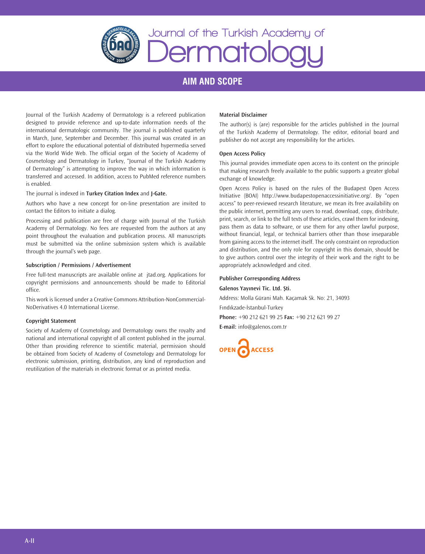

# **Journal of the Turkish Academy of Dermatology**

# **AIM AND SCOPE**

Journal of the Turkish Academy of Dermatology is a refereed publication designed to provide reference and up-to-date information needs of the international dermatologic community. The journal is published quarterly in March, June, September and December. This journal was created in an effort to explore the educational potential of distributed hypermedia served via the World Wide Web. The official organ of the Society of Academy of Cosmetology and Dermatology in Turkey, "Journal of the Turkish Academy of Dermatology" is attempting to improve the way in which information is transferred and accessed. In addition, access to PubMed reference numbers is enabled.

The journal is indexed in **Turkey Citation Index** and **J-Gate.**

Authors who have a new concept for on-line presentation are invited to contact the Editors to initiate a dialog.

Processing and publication are free of charge with Journal of the Turkish Academy of Dermatology. No fees are requested from the authors at any point throughout the evaluation and publication process. All manuscripts must be submitted via the online submission system which is available through the journal's web page.

#### **Subscription / Permissions / Advertisement**

Free full-text manuscripts are available online at jtad.org. Applications for copyright permissions and announcements should be made to Editorial office.

This work is licensed under a Creative Commons Attribution-NonCommercial-NoDerivatives 4.0 International License.

#### **Copyright Statement**

Society of Academy of Cosmetology and Dermatology owns the royalty and national and international copyright of all content published in the journal. Other than providing reference to scientific material, permission should be obtained from Society of Academy of Cosmetology and Dermatology for electronic submission, printing, distribution, any kind of reproduction and reutilization of the materials in electronic format or as printed media.

#### **Material Disclaimer**

The author(s) is (are) responsible for the articles published in the Journal of the Turkish Academy of Dermatology. The editor, editorial board and publisher do not accept any responsibility for the articles.

#### **Open Access Policy**

This journal provides immediate open access to its content on the principle that making research freely available to the public supports a greater global exchange of knowledge.

Open Access Policy is based on the rules of the Budapest Open Access Initiative (BOAI) http://www.budapestopenaccessinitiative.org/. By "open access" to peer-reviewed research literature, we mean its free availability on the public internet, permitting any users to read, download, copy, distribute, print, search, or link to the full texts of these articles, crawl them for indexing, pass them as data to software, or use them for any other lawful purpose, without financial, legal, or technical barriers other than those inseparable from gaining access to the internet itself. The only constraint on reproduction and distribution, and the only role for copyright in this domain, should be to give authors control over the integrity of their work and the right to be appropriately acknowledged and cited.

#### **Publisher Corresponding Address**

#### **Galenos Yayınevi Tic. Ltd. Şti.**

Address: Molla Gürani Mah. Kaçamak Sk. No: 21, 34093 Fındıkzade-İstanbul-Turkey

**Phone:** +90 212 621 99 25 **Fax:** +90 212 621 99 27

**E-mail:** info@galenos.com.tr

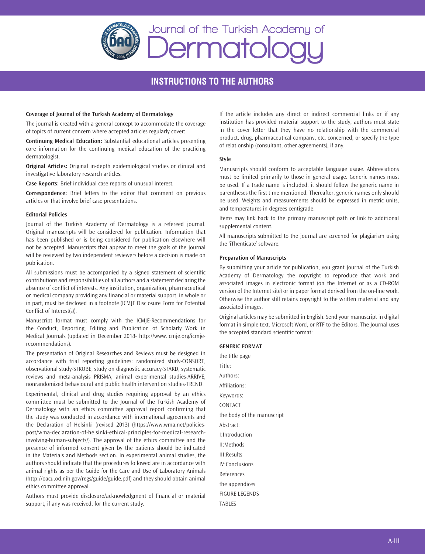

# **INSTRUCTIONS TO THE AUTHORS**

#### **Coverage of Journal of the Turkish Academy of Dermatology**

The journal is created with a general concept to accommodate the coverage of topics of current concern where accepted articles regularly cover:

**Continuing Medical Education:** Substantial educational articles presenting core information for the continuing medical education of the practicing dermatologist.

**Original Articles:** Original in-depth epidemiological studies or clinical and investigative laboratory research articles.

**Case Reports:** Brief individual case reports of unusual interest.

**Correspondence:** Brief letters to the editor that comment on previous articles or that involve brief case presentations.

#### **Editorial Policies**

Journal of the Turkish Academy of Dermatology is a refereed journal. Original manuscripts will be considered for publication. Information that has been published or is being considered for publication elsewhere will not be accepted. Manuscripts that appear to meet the goals of the Journal will be reviewed by two independent reviewers before a decision is made on publication.

All submissions must be accompanied by a signed statement of scientific contributions and responsibilities of all authors and a statement declaring the absence of conflict of interests. Any institution, organization, pharmaceutical or medical company providing any financial or material support, in whole or in part, must be disclosed in a footnote (ICMJE Disclosure Form for Potential Conflict of Interest(s)).

Manuscript format must comply with the ICMJE-Recommendations for the Conduct, Reporting, Editing and Publication of Scholarly Work in Medical Journals (updated in December 2018- http://www.icmje.org/icmjerecommendations).

The presentation of Original Researches and Reviews must be designed in accordance with trial reporting guidelines: randomized study-CONSORT, observational study-STROBE, study on diagnostic accuracy-STARD, systematic reviews and meta-analysis PRISMA, animal experimental studies-ARRIVE, nonrandomized behavioural and public health intervention studies-TREND.

Experimental, clinical and drug studies requiring approval by an ethics committee must be submitted to the Journal of the Turkish Academy of Dermatology with an ethics committee approval report confirming that the study was conducted in accordance with international agreements and the Declaration of Helsinki (revised 2013) (https://www.wma.net/policiespost/wma-declaration-of-helsinki-ethical-principles-for-medical-researchinvolving-human-subjects/). The approval of the ethics committee and the presence of informed consent given by the patients should be indicated in the Materials and Methods section. In experimental animal studies, the authors should indicate that the procedures followed are in accordance with animal rights as per the Guide for the Care and Use of Laboratory Animals (http://oacu.od.nih.gov/regs/guide/guide.pdf) and they should obtain animal ethics committee approval.

Authors must provide disclosure/acknowledgment of financial or material support, if any was received, for the current study.

If the article includes any direct or indirect commercial links or if any institution has provided material support to the study, authors must state in the cover letter that they have no relationship with the commercial product, drug, pharmaceutical company, etc. concerned; or specify the type of relationship (consultant, other agreements), if any.

#### **Style**

Manuscripts should conform to acceptable language usage. Abbreviations must be limited primarily to those in general usage. Generic names must be used. If a trade name is included, it should follow the generic name in parentheses the first time mentioned. Thereafter, generic names only should be used. Weights and measurements should be expressed in metric units, and temperatures in degrees centigrade.

Items may link back to the primary manuscript path or link to additional supplemental content.

All manuscripts submitted to the journal are screened for plagiarism using the 'iThenticate' software.

#### **Preparation of Manuscripts**

By submitting your article for publication, you grant Journal of the Turkish Academy of Dermatology the copyright to reproduce that work and associated images in electronic format (on the Internet or as a CD-ROM version of the Internet site) or in paper format derived from the on-line work. Otherwise the author still retains copyright to the written material and any associated images.

Original articles may be submitted in English. Send your manuscript in digital format in simple text, Microsoft Word, or RTF to the Editors. The Journal uses the accepted standard scientific format:

#### **GENERIC FORMAT**

the title page Title: Authors: Affiliations: Keywords: CONTACT the body of the manuscript Abstract: I:Introduction II:Methods III:Results IV:Conclusions References the appendices FIGURE LEGENDS TABLES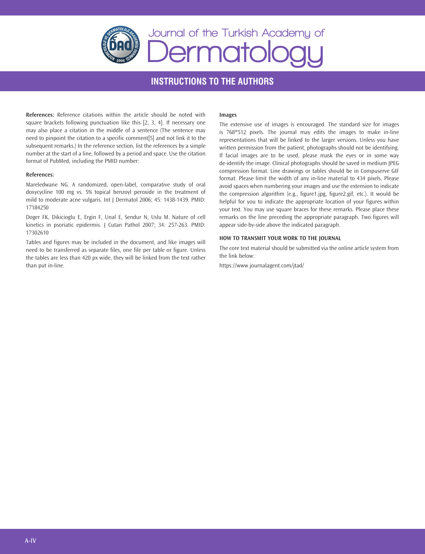

# **INSTRUCTIONS TO THE AUTHORS**

**References:** Reference citations within the article should be noted with square brackets following punctuation like this [2, 3, 4]. If necessary one may also place a citation in the middle of a sentence (The sentence may need to pinpoint the citation to a specific comment[5] and not link it to the subsequent remarks.) In the reference section, list the references by a simple number at the start of a line, followed by a period and space. Use the citation format of PubMed, including the PMID number:

#### **References:**

Mareledwane NG. A randomized, open-label, comparative study of oral doxycycline 100 mg vs. 5% topical benzoyl peroxide in the treatment of mild to moderate acne vulgaris. Int J Dermatol 2006; 45: 1438-1439. PMID: 17184250

Doger FK, Dikicioglu E, Ergin F, Unal E, Sendur N, Uslu M. Nature of cell kinetics in psoriatic epidermis. | Cutan Pathol 2007; 34: 257-263. PMID: 17302610

Tables and figures may be included in the document, and like images will need to be transferred as separate files, one file per table or figure. Unless the tables are less than 420 px wide, they will be linked from the text rather than put in-line.

#### **Images**

The extensive use of images is encouraged. The standard size for images is 768\*512 pixels. The journal may edits the images to make in-line representations that will be linked to the larger versions. Unless you have written permission from the patient, photographs should not be identifying. If facial images are to be used, please mask the eyes or in some way de-identify the image. Clinical photographs should be saved in medium JPEG compression format. Line drawings or tables should be in Compuserve GIF format. Please limit the width of any in-line material to 434 pixels. Please avoid spaces when numbering your images and use the extension to indicate the compression algorithm (e.g., figure1.jpg, figure2.gif, etc.). It would be helpful for you to indicate the appropriate location of your figures within your text. You may use square braces for these remarks. Please place these remarks on the line preceding the appropriate paragraph. Two figures will appear side-by-side above the indicated paragraph.

#### **HOW TO TRANSMIT YOUR WORK TO THE JOURNAL**

The core text material should be submitted via the online article system from the link below:

https://www.journalagent.com/jtad/